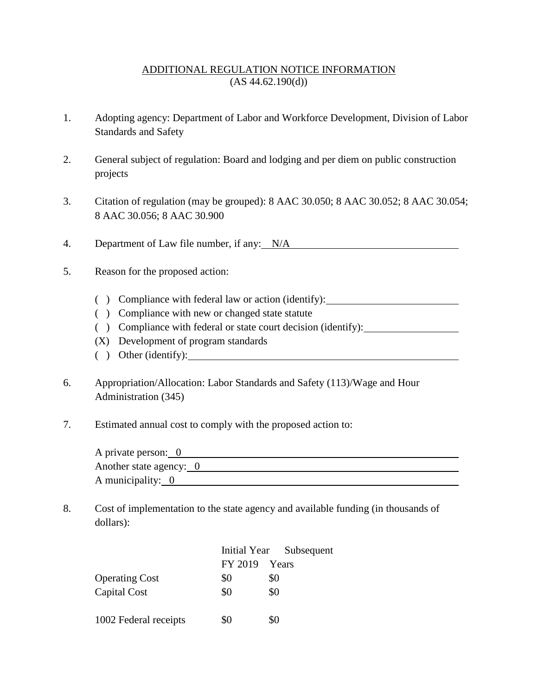## ADDITIONAL REGULATION NOTICE INFORMATION  $(AS 44.62.190(d))$

- 1. Adopting agency: Department of Labor and Workforce Development, Division of Labor Standards and Safety
- 2. General subject of regulation: Board and lodging and per diem on public construction projects
- 3. Citation of regulation (may be grouped): 8 AAC 30.050; 8 AAC 30.052; 8 AAC 30.054; 8 AAC 30.056; 8 AAC 30.900
- 4. Department of Law file number, if any: N/A
- 5. Reason for the proposed action:
	- ( ) Compliance with federal law or action (identify):
	- ( ) Compliance with new or changed state statute
	- ( ) Compliance with federal or state court decision (identify):
	- (X) Development of program standards
	- ( ) Other (identify):
- 6. Appropriation/Allocation: Labor Standards and Safety (113)/Wage and Hour Administration (345)
- 7. Estimated annual cost to comply with the proposed action to:

| A private person: 0     |  |
|-------------------------|--|
| Another state agency: 0 |  |
| A municipality: 0       |  |

8. Cost of implementation to the state agency and available funding (in thousands of dollars):

|                       |         | Initial Year Subsequent |
|-----------------------|---------|-------------------------|
|                       | FY 2019 | Years                   |
| <b>Operating Cost</b> | \$0     | \$0                     |
| Capital Cost          | \$0     | \$0                     |
| 1002 Federal receipts | \$0     | \$0                     |